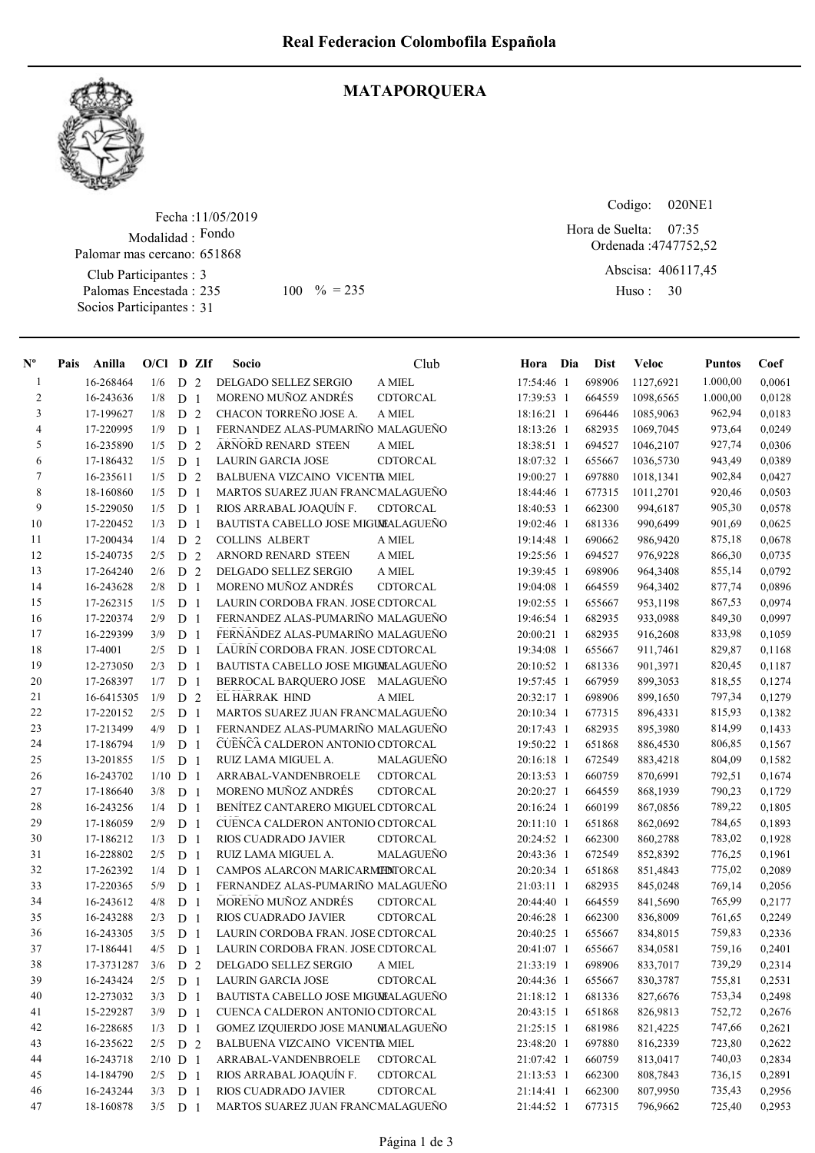

## MATAPORQUERA

Fecha : 11/05/2019 Modalidad : Fondo Club Participantes : 3 Palomas Encestada : Socios Participantes : 31 Palomar mas cercano: 651868 235 100 % = 235 Huso: 30

Codigo: 020NE1

Ordenada : 4747752,52 Abscisa: 406117,45 07:35 Hora de Suelta:

Huso: 30

| $N^{\circ}$    | Pais | Anilla     | $O/CI$ D ZIf |                |                | Socio                               | Club             | Hora Dia   | <b>Dist</b> | Veloc     | <b>Puntos</b> | Coef   |
|----------------|------|------------|--------------|----------------|----------------|-------------------------------------|------------------|------------|-------------|-----------|---------------|--------|
| $\mathbf{1}$   |      | 16-268464  | 1/6          | D <sub>2</sub> |                | DELGADO SELLEZ SERGIO               | A MIEL           | 17:54:46 1 | 698906      | 1127,6921 | 1.000,00      | 0,0061 |
| $\overline{c}$ |      | 16-243636  | 1/8          | D <sub>1</sub> |                | MORENO MUÑOZ ANDRÉS                 | CDTORCAL         | 17:39:53 1 | 664559      | 1098,6565 | 1.000,00      | 0,0128 |
| 3              |      | 17-199627  | 1/8          | D <sub>2</sub> |                | CHACON TORREÑO JOSE A.              | A MIEL           | 18:16:21 1 | 696446      | 1085,9063 | 962,94        | 0,0183 |
| $\overline{4}$ |      | 17-220995  | 1/9          | D <sub>1</sub> |                | FERNANDEZ ALAS-PUMARIÑO MALAGUEÑO   |                  | 18:13:26 1 | 682935      | 1069,7045 | 973,64        | 0,0249 |
| 5              |      | 16-235890  | 1/5          | D              | 2              | <b>ARNORD RENARD STEEN</b>          | A MIEL           | 18:38:51 1 | 694527      | 1046,2107 | 927,74        | 0,0306 |
| 6              |      | 17-186432  | 1/5          | D              | $\overline{1}$ | <b>LAURIN GARCIA JOSE</b>           | CDTORCAL         | 18:07:32 1 | 655667      | 1036,5730 | 943,49        | 0,0389 |
| 7              |      | 16-235611  | 1/5          | D <sub>2</sub> |                | BALBUENA VIZCAINO VICENTE MIEL      |                  | 19:00:27 1 | 697880      | 1018,1341 | 902,84        | 0,0427 |
| 8              |      | 18-160860  | 1/5          | D              | $\overline{1}$ | MARTOS SUAREZ JUAN FRANCMALAGUEÑO   |                  | 18:44:46 1 | 677315      | 1011,2701 | 920,46        | 0,0503 |
| 9              |      | 15-229050  | 1/5          | D <sub>1</sub> |                | RIOS ARRABAL JOAQUÍN F.             | CDTORCAL         | 18:40:53 1 | 662300      | 994,6187  | 905,30        | 0,0578 |
| 10             |      | 17-220452  | 1/3          | D <sub>1</sub> |                | BAUTISTA CABELLO JOSE MIGULALAGUEÑO |                  | 19:02:46 1 | 681336      | 990,6499  | 901,69        | 0,0625 |
| 11             |      | 17-200434  | 1/4          | D              | 2              | <b>COLLINS ALBERT</b>               | A MIEL           | 19:14:48 1 | 690662      | 986,9420  | 875,18        | 0,0678 |
| 12             |      | 15-240735  | 2/5          | D              | 2              | ARNORD RENARD STEEN                 | A MIEL           | 19:25:56 1 | 694527      | 976,9228  | 866,30        | 0,0735 |
| 13             |      | 17-264240  | 2/6          | D 2            |                | DELGADO SELLEZ SERGIO               | A MIEL           | 19:39:45 1 | 698906      | 964,3408  | 855,14        | 0,0792 |
| 14             |      | 16-243628  | 2/8          | D <sub>1</sub> |                | MORENO MUÑOZ ANDRÉS                 | CDTORCAL         | 19:04:08 1 | 664559      | 964,3402  | 877,74        | 0,0896 |
| 15             |      | 17-262315  | 1/5          | D <sub>1</sub> |                | LAURIN CORDOBA FRAN. JOSE CDTORCAL  |                  | 19:02:55 1 | 655667      | 953,1198  | 867,53        | 0,0974 |
| 16             |      | 17-220374  | 2/9          | D <sub>1</sub> |                | FERNANDEZ ALAS-PUMARIÑO MALAGUEÑO   |                  | 19:46:54 1 | 682935      | 933,0988  | 849,30        | 0,0997 |
| 17             |      | 16-229399  | 3/9          | D <sub>1</sub> |                | FERNANDEZ ALAS-PUMARIÑO MALAGUEÑO   |                  | 20:00:21 1 | 682935      | 916,2608  | 833,98        | 0,1059 |
| 18             |      | 17-4001    | 2/5          | D <sub>1</sub> |                | LAURIN CORDOBA FRAN. JOSE CDTORCAL  |                  | 19:34:08 1 | 655667      | 911,7461  | 829,87        | 0,1168 |
| 19             |      | 12-273050  | 2/3          | D <sub>1</sub> |                | BAUTISTA CABELLO JOSE MIGULALAGUEÑO |                  | 20:10:52 1 | 681336      | 901,3971  | 820,45        | 0,1187 |
| 20             |      | 17-268397  | 1/7          | D              | 1              | BERROCAL BARQUERO JOSE MALAGUEÑO    |                  | 19:57:45 1 | 667959      | 899,3053  | 818,55        | 0,1274 |
| 21             |      | 16-6415305 | 1/9          | D              | 2              | EL HARRAK HIND                      | A MIEL           | 20:32:17 1 | 698906      | 899,1650  | 797,34        | 0,1279 |
| 22             |      | 17-220152  | 2/5          | D <sub>1</sub> |                | MARTOS SUAREZ JUAN FRANCMALAGUEÑO   |                  | 20:10:34 1 | 677315      | 896,4331  | 815,93        | 0,1382 |
| 23             |      | 17-213499  | 4/9          | D <sub>1</sub> |                | FERNANDEZ ALAS-PUMARIÑO MALAGUEÑO   |                  | 20:17:43 1 | 682935      | 895,3980  | 814,99        | 0,1433 |
| 24             |      | 17-186794  | 1/9          | D              | $\mathbf{1}$   | CUENCA CALDERON ANTONIO CDTORCAL    |                  | 19:50:22 1 | 651868      | 886,4530  | 806,85        | 0,1567 |
| 25             |      | 13-201855  | 1/5          | D              | $\overline{1}$ | RUIZ LAMA MIGUEL A.                 | MALAGUEÑO        | 20:16:18 1 | 672549      | 883,4218  | 804,09        | 0,1582 |
| 26             |      | 16-243702  | $1/10$ D 1   |                |                | ARRABAL-VANDENBROELE                | CDTORCAL         | 20:13:53 1 | 660759      | 870,6991  | 792,51        | 0,1674 |
| 27             |      | 17-186640  | 3/8          | D <sub>1</sub> |                | MORENO MUÑOZ ANDRÉS                 | CDTORCAL         | 20:20:27 1 | 664559      | 868,1939  | 790,23        | 0,1729 |
| 28             |      | 16-243256  | 1/4          | D <sub>1</sub> |                | BENÍTEZ CANTARERO MIGUEL CDTORCAL   |                  | 20:16:24 1 | 660199      | 867,0856  | 789,22        | 0,1805 |
| 29             |      | 17-186059  | 2/9          | D <sub>1</sub> |                | CUENCA CALDERON ANTONIO CDTORCAL    |                  | 20:11:10 1 | 651868      | 862,0692  | 784,65        | 0,1893 |
| 30             |      | 17-186212  | 1/3          | D <sub>1</sub> |                | RIOS CUADRADO JAVIER                | CDTORCAL         | 20:24:52 1 | 662300      | 860,2788  | 783,02        | 0,1928 |
| 31             |      | 16-228802  | 2/5          | D <sub>1</sub> |                | RUIZ LAMA MIGUEL A.                 | <b>MALAGUENO</b> | 20:43:36 1 | 672549      | 852,8392  | 776,25        | 0,1961 |
| 32             |      | 17-262392  | 1/4          | D <sub>1</sub> |                | CAMPOS ALARCON MARICARMEDITORCAL    |                  | 20:20:34 1 | 651868      | 851,4843  | 775,02        | 0,2089 |
| 33             |      | 17-220365  | 5/9          | D <sub>1</sub> |                | FERNANDEZ ALAS-PUMARIÑO MALAGUEÑO   |                  | 21:03:11 1 | 682935      | 845,0248  | 769,14        | 0,2056 |
| 34             |      | 16-243612  | 4/8          | D <sub>1</sub> |                | MORENO MUÑOZ ANDRÉS                 | CDTORCAL         | 20:44:40 1 | 664559      | 841,5690  | 765,99        | 0,2177 |
| 35             |      | 16-243288  | 2/3          | D <sub>1</sub> |                | RIOS CUADRADO JAVIER                | CDTORCAL         | 20:46:28 1 | 662300      | 836,8009  | 761,65        | 0,2249 |
| 36             |      | 16-243305  | 3/5          | D <sub>1</sub> |                | LAURIN CORDOBA FRAN. JOSE CDTORCAL  |                  | 20:40:25 1 | 655667      | 834,8015  | 759,83        | 0,2336 |
| 37             |      | 17-186441  | 4/5          | D <sub>1</sub> |                | LAURIN CORDOBA FRAN. JOSE CDTORCAL  |                  | 20:41:07 1 | 655667      | 834,0581  | 759,16        | 0,2401 |
| 38             |      | 17-3731287 | 3/6          | D 2            |                | DELGADO SELLEZ SERGIO               | A MIEL           | 21:33:19 1 | 698906      | 833,7017  | 739,29        | 0,2314 |
| 39             |      | 16-243424  | 2/5          | D <sub>1</sub> |                | <b>LAURIN GARCIA JOSE</b>           | CDTORCAL         | 20:44:36 1 | 655667      | 830,3787  | 755,81        | 0,2531 |
| 40             |      | 12-273032  | 3/3          | D <sub>1</sub> |                | BAUTISTA CABELLO JOSE MIGULALAGUEÑO |                  | 21:18:12 1 | 681336      | 827,6676  | 753,34        | 0,2498 |
| 41             |      | 15-229287  | 3/9          | D <sub>1</sub> |                | CUENCA CALDERON ANTONIO CDTORCAL    |                  | 20:43:15 1 | 651868      | 826,9813  | 752,72        | 0,2676 |
| 42             |      | 16-228685  | 1/3          | D <sub>1</sub> |                | GOMEZ IZQUIERDO JOSE MANUMALAGUEÑO  |                  | 21:25:15 1 | 681986      | 821,4225  | 747,66        | 0,2621 |
| 43             |      | 16-235622  | 2/5          | D 2            |                | BALBUENA VIZCAINO VICENTE MIEL      |                  | 23:48:20 1 | 697880      | 816,2339  | 723,80        | 0,2622 |
| 44             |      | 16-243718  | $2/10$ D 1   |                |                | ARRABAL-VANDENBROELE                | CDTORCAL         | 21:07:42 1 | 660759      | 813,0417  | 740,03        | 0,2834 |
| 45             |      | 14-184790  | 2/5          | D <sub>1</sub> |                | RIOS ARRABAL JOAQUÍN F.             | CDTORCAL         | 21:13:53 1 | 662300      | 808,7843  | 736,15        | 0,2891 |
| 46             |      | 16-243244  | 3/3          | D <sub>1</sub> |                | RIOS CUADRADO JAVIER                | CDTORCAL         | 21:14:41 1 | 662300      | 807,9950  | 735,43        | 0,2956 |
| 47             |      | 18-160878  | 3/5          | D <sub>1</sub> |                | MARTOS SUAREZ JUAN FRANCMALAGUEÑO   |                  | 21:44:52 1 | 677315      | 796,9662  | 725,40        | 0,2953 |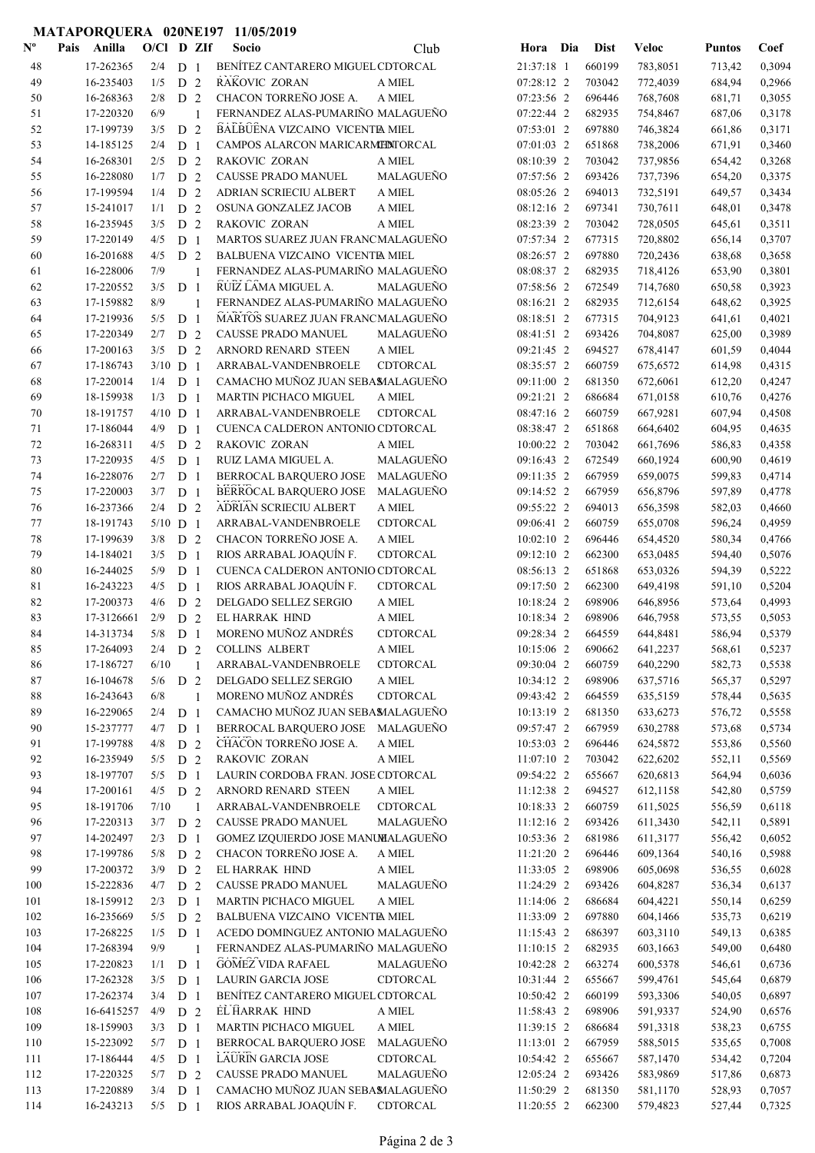|                           |                        |            |                |              | MATAPORQUERA 020NE197 11/05/2019        |                    |                          |                  |                      |                  |                  |
|---------------------------|------------------------|------------|----------------|--------------|-----------------------------------------|--------------------|--------------------------|------------------|----------------------|------------------|------------------|
| $\mathbf{N}^{\mathbf{o}}$ | Anilla<br>Pais         | O/Cl D ZIf |                |              | Socio                                   | Club               | Hora Dia                 | <b>Dist</b>      | <b>Veloc</b>         | <b>Puntos</b>    | Coef             |
| 48                        | 17-262365              |            | $2/4$ D 1      |              | BENÍTEZ CANTARERO MIGUEL CDTORCAL       |                    | 21:37:18 1               | 660199           | 783,8051             | 713,42           | 0,3094           |
| 49                        | 16-235403              | 1/5        | D 2            |              | RAKOVIC ZORAN                           | A MIEL             | 07:28:12 2               | 703042           | 772,4039             | 684,94           | 0,2966           |
| 50                        | 16-268363              | 2/8        | D <sub>2</sub> |              | CHACON TORREÑO JOSE A.                  | A MIEL             | 07:23:56 2               | 696446           | 768,7608             | 681,71           | 0,3055           |
| 51                        | 17-220320              | 6/9        |                | 1            | FERNANDEZ ALAS-PUMARIÑO MALAGUEÑO       |                    | 07:22:44 2               | 682935           | 754,8467             | 687,06           | 0,3178           |
| 52                        | 17-199739              | 3/5        | D <sub>2</sub> |              | BALBUENA VIZCAINO VICENTE MIEL          |                    | 07:53:01 2               | 697880           | 746,3824             | 661,86           | 0,3171           |
| 53                        | 14-185125              | 2/4        | D <sub>1</sub> |              | CAMPOS ALARCON MARICARMENTORCAL         |                    | 07:01:03 2               | 651868           | 738,2006             | 671,91           | 0,3460           |
| 54                        | 16-268301              | 2/5        | D 2            |              | RAKOVIC ZORAN                           | A MIEL             | 08:10:39 2               | 703042           | 737,9856             | 654,42           | 0,3268           |
| 55                        | 16-228080              | 1/7        | D <sub>2</sub> |              | CAUSSE PRADO MANUEL                     | MALAGUEÑO          | 07:57:56 2               | 693426           | 737,7396             | 654,20           | 0,3375           |
| 56                        | 17-199594              | 1/4        | D <sub>2</sub> |              | ADRIAN SCRIECIU ALBERT                  | A MIEL             | 08:05:26 2               | 694013           | 732,5191             | 649,57           | 0,3434           |
| 57                        | 15-241017              | 1/1        | D <sub>2</sub> |              | OSUNA GONZALEZ JACOB                    | A MIEL             | 08:12:16 2               | 697341           | 730,7611             | 648,01           | 0,3478           |
| 58                        | 16-235945              | 3/5        | D <sub>2</sub> |              | <b>RAKOVIC ZORAN</b>                    | A MIEL             | 08:23:39 2               | 703042           | 728,0505             | 645,61           | 0,3511           |
| 59                        | 17-220149              | 4/5        | D <sub>1</sub> |              | MARTOS SUAREZ JUAN FRANCMALAGUEÑO       |                    | 07:57:34 2               | 677315           | 720,8802             | 656,14           | 0,3707           |
| 60                        | 16-201688              | 4/5        | D <sub>2</sub> |              | BALBUENA VIZCAINO VICENTE MIEL          |                    | 08:26:57 2               | 697880           | 720,2436             | 638,68           | 0,3658           |
| 61                        | 16-228006              | 7/9        |                | 1            | FERNANDEZ ALAS-PUMARIÑO MALAGUEÑO       |                    | 08:08:37 2               | 682935           | 718,4126             | 653,90           | 0,3801           |
| 62                        | 17-220552              | 3/5        | D <sub>1</sub> |              | RUIZ LAMA MIGUEL A.                     | MALAGUEÑO          | 07:58:56 2               | 672549           | 714,7680             | 650,58           | 0,3923           |
| 63                        | 17-159882              | 8/9        |                | 1            | FERNANDEZ ALAS-PUMARIÑO MALAGUEÑO       |                    | 08:16:21 2               | 682935           | 712,6154             | 648,62           | 0,3925           |
| 64                        | 17-219936              | 5/5        | D <sub>1</sub> |              | MARTOS SUAREZ JUAN FRANCMALAGUEÑO       |                    | 08:18:51 2               | 677315           | 704,9123             | 641,61           | 0,4021           |
| 65                        | 17-220349              | 2/7        | D <sub>2</sub> |              | CAUSSE PRADO MANUEL                     | MALAGUEÑO          | 08:41:51 2               | 693426           | 704,8087             | 625,00           | 0,3989           |
| 66                        | 17-200163              |            | $3/5$ D 2      |              | ARNORD RENARD STEEN                     | A MIEL             | 09:21:45 2               | 694527           | 678,4147             | 601,59           | 0,4044           |
| 67                        | 17-186743              |            | $3/10$ D 1     |              | ARRABAL-VANDENBROELE                    | <b>CDTORCAL</b>    | 08:35:57 2               | 660759           | 675,6572             | 614,98           | 0,4315           |
| 68                        | 17-220014              | 1/4        | D <sub>1</sub> |              | CAMACHO MUÑOZ JUAN SEBAMALAGUEÑO        |                    | 09:11:00 2               | 681350           | 672,6061             | 612,20           | 0,4247           |
| 69                        | 18-159938              |            | $1/3$ D 1      |              | <b>MARTIN PICHACO MIGUEL</b>            | A MIEL             | 09:21:21 2               | 686684           | 671,0158             | 610,76           | 0,4276           |
| 70                        | 18-191757              |            | $4/10$ D 1     |              | ARRABAL-VANDENBROELE                    | CDTORCAL           | 08:47:16 2               | 660759           | 667,9281             | 607,94           | 0,4508           |
| 71                        | 17-186044              |            | $4/9$ D 1      |              | CUENCA CALDERON ANTONIO CDTORCAL        |                    | 08:38:47 2               | 651868           | 664,6402             | 604,95           | 0,4635           |
| 72                        | 16-268311              | 4/5        | D <sub>2</sub> |              | RAKOVIC ZORAN                           | A MIEL             | 10:00:22 2               | 703042           | 661,7696             | 586,83           | 0,4358           |
| 73                        | 17-220935              | 4/5        | D <sub>1</sub> |              | RUIZ LAMA MIGUEL A.                     | MALAGUEÑO          | 09:16:43 2               | 672549           | 660,1924             | 600,90           | 0,4619           |
| 74                        | 16-228076              | 2/7        | D <sub>1</sub> |              | BERROCAL BARQUERO JOSE                  | MALAGUEÑO          | 09:11:35 2               | 667959           | 659,0075             | 599,83           | 0,4714           |
| 75                        | 17-220003              | 3/7        | D <sub>1</sub> |              | BERROCAL BARQUERO JOSE MALAGUEÑO        |                    | 09:14:52 2               | 667959           | 656,8796             | 597,89           | 0,4778           |
| 76                        | 16-237366              | 2/4        | D <sub>2</sub> |              | ADRIAN SCRIECIU ALBERT                  | A MIEL             | 09:55:22 2               | 694013           | 656,3598             | 582,03           | 0,4660           |
| 77                        | 18-191743              |            | $5/10$ D 1     |              | ARRABAL-VANDENBROELE                    | CDTORCAL           | 09:06:41 2               | 660759           | 655,0708             | 596,24           | 0,4959           |
| 78                        | 17-199639              |            | $3/8$ D $2$    |              | CHACON TORREÑO JOSE A.                  | A MIEL             | $10:02:10$ 2             | 696446           | 654,4520             | 580,34           | 0,4766           |
| 79                        | 14-184021              | 3/5        | D <sub>1</sub> |              | RIOS ARRABAL JOAQUÍN F.                 | CDTORCAL           | 09:12:10 2               | 662300           | 653,0485             | 594,40           | 0,5076           |
| 80                        | 16-244025              | 5/9        | D <sub>1</sub> |              | CUENCA CALDERON ANTONIO CDTORCAL        |                    | 08:56:13 2               | 651868           | 653,0326             | 594,39           | 0,5222           |
| 81                        | 16-243223              | 4/5        | D <sub>1</sub> |              | RIOS ARRABAL JOAQUÍN F.                 | CDTORCAL           | 09:17:50 2<br>10:18:24 2 | 662300           | 649,4198             | 591,10           | 0,5204           |
| 82                        | 17-200373              | 4/6        | D <sub>2</sub> |              | DELGADO SELLEZ SERGIO<br>EL HARRAK HIND | A MIEL             |                          | 698906           | 646,8956             | 573,64           | 0,4993           |
| 83                        | 17-3126661             | 2/9        | D <sub>2</sub> |              | MORENO MUÑOZ ANDRÉS                     | A MIEL             | 10:18:34 2<br>09:28:34 2 | 698906           | 646,7958             | 573,55           | 0,5053           |
| 84                        | 14-313734              |            | $5/8$ D $1$    |              | <b>COLLINS ALBERT</b>                   | CDTORCAL<br>A MIEL | 10:15:06 2               | 664559<br>690662 | 644,8481             | 586,94           | 0,5379<br>0,5237 |
| 85<br>86                  | 17-264093<br>17-186727 | 6/10       | $2/4$ D 2      |              | ARRABAL-VANDENBROELE                    | CDTORCAL           | 09:30:04 2               | 660759           | 641,2237<br>640,2290 | 568,61           | 0,5538           |
| 87                        | 16-104678              | 5/6        | D 2            | 1            | DELGADO SELLEZ SERGIO                   | A MIEL             | 10:34:12 2               | 698906           | 637,5716             | 582,73<br>565,37 | 0,5297           |
| 88                        | 16-243643              | 6/8        |                | $\mathbf{1}$ | MORENO MUÑOZ ANDRÉS                     | CDTORCAL           | 09:43:42 2               | 664559           | 635,5159             | 578,44           | 0,5635           |
| 89                        | 16-229065              | 2/4        | D <sub>1</sub> |              | CAMACHO MUÑOZ JUAN SEBAMALAGUEÑO        |                    | 10:13:19 2               | 681350           | 633,6273             | 576,72           | 0,5558           |
| 90                        | 15-237777              | 4/7        | D <sub>1</sub> |              | BERROCAL BARQUERO JOSE MALAGUEÑO        |                    | 09:57:47 2               | 667959           | 630,2788             | 573,68           | 0,5734           |
| 91                        | 17-199788              | 4/8        | D 2            |              | CHACON TORREÑO JOSE A.                  | A MIEL             | 10:53:03 2               | 696446           | 624,5872             | 553,86           | 0,5560           |
| 92                        | 16-235949              | 5/5        | D 2            |              | RAKOVIC ZORAN                           | A MIEL             | 11:07:10 2               | 703042           | 622,6202             | 552,11           | 0,5569           |
| 93                        | 18-197707              | 5/5        | D <sub>1</sub> |              | LAURIN CORDOBA FRAN. JOSE CDTORCAL      |                    | 09:54:22 2               | 655667           | 620,6813             | 564,94           | 0,6036           |
| 94                        | 17-200161              |            | $4/5$ D 2      |              | ARNORD RENARD STEEN                     | A MIEL             | 11:12:38 2               | 694527           | 612,1158             | 542,80           | 0,5759           |
| 95                        | 18-191706              | 7/10       |                | $\mathbf{1}$ | ARRABAL-VANDENBROELE                    | CDTORCAL           | 10:18:33 2               | 660759           | 611,5025             | 556,59           | 0,6118           |
| 96                        | 17-220313              |            | $3/7$ D 2      |              | CAUSSE PRADO MANUEL                     | MALAGUEÑO          | 11:12:16 2               | 693426           | 611,3430             | 542,11           | 0,5891           |
| 97                        | 14-202497              | 2/3        | D <sub>1</sub> |              | GOMEZ IZQUIERDO JOSE MANUMALAGUEÑO      |                    | 10:53:36 2               | 681986           | 611,3177             | 556,42           | 0,6052           |
| 98                        | 17-199786              | 5/8        | D 2            |              | CHACON TORREÑO JOSE A.                  | A MIEL             | 11:21:20 2               | 696446           | 609,1364             | 540,16           | 0,5988           |
| 99                        | 17-200372              | 3/9        | D <sub>2</sub> |              | EL HARRAK HIND                          | A MIEL             | 11:33:05 2               | 698906           | 605,0698             | 536,55           | 0,6028           |
| 100                       | 15-222836              | 4/7        | D 2            |              | CAUSSE PRADO MANUEL                     | MALAGUEÑO          | 11:24:29 2               | 693426           | 604,8287             | 536,34           | 0,6137           |
| 101                       | 18-159912              | 2/3        | D <sub>1</sub> |              | MARTIN PICHACO MIGUEL                   | $\mathbf A$ MIEL   | 11:14:06 2               | 686684           | 604,4221             | 550,14           | 0,6259           |
| 102                       | 16-235669              | 5/5        | D <sub>2</sub> |              | BALBUENA VIZCAINO VICENTE MIEL          |                    | 11:33:09 2               | 697880           | 604,1466             | 535,73           | 0,6219           |
| 103                       | 17-268225              | 1/5        | $D_1$          |              | ACEDO DOMINGUEZ ANTONIO MALAGUEÑO       |                    | 11:15:43 2               | 686397           | 603,3110             | 549,13           | 0,6385           |
| 104                       | 17-268394              | 9/9        |                | 1            | FERNANDEZ ALAS-PUMARIÑO MALAGUEÑO       |                    | 11:10:15 2               | 682935           | 603,1663             | 549,00           | 0,6480           |
| 105                       | 17-220823              | 1/1        | D <sub>1</sub> |              | <b>GOMEZ VIDA RAFAEL</b>                | MALAGUEÑO          | 10:42:28 2               | 663274           | 600,5378             | 546,61           | 0,6736           |
| 106                       | 17-262328              | 3/5        | D <sub>1</sub> |              | <b>LAURIN GARCIA JOSE</b>               | CDTORCAL           | 10:31:44 2               | 655667           | 599,4761             | 545,64           | 0,6879           |
| 107                       | 17-262374              | 3/4        | D <sub>1</sub> |              | BENÍTEZ CANTARERO MIGUEL CDTORCAL       |                    | 10:50:42 2               | 660199           | 593,3306             | 540,05           | 0,6897           |
| 108                       | 16-6415257             | 4/9        | D <sub>2</sub> |              | EL HARRAK HIND                          | A MIEL             | 11:58:43 2               | 698906           | 591,9337             | 524,90           | 0,6576           |
| 109                       | 18-159903              | 3/3        | D <sub>1</sub> |              | MARTIN PICHACO MIGUEL                   | A MIEL             | 11:39:15 2               | 686684           | 591,3318             | 538,23           | 0,6755           |
| 110                       | 15-223092              | 5/7        | D <sub>1</sub> |              | BERROCAL BARQUERO JOSE                  | MALAGUEÑO          | 11:13:01 2               | 667959           | 588,5015             | 535,65           | 0,7008           |
| 111                       | 17-186444              | 4/5        | D <sub>1</sub> |              | LAURIN GARCIA JOSE                      | CDTORCAL           | 10:54:42 2               | 655667           | 587,1470             | 534,42           | 0,7204           |
| 112                       | 17-220325              | 5/7        | D <sub>2</sub> |              | CAUSSE PRADO MANUEL                     | MALAGUEÑO          | 12:05:24 2               | 693426           | 583,9869             | 517,86           | 0,6873           |
| 113                       | 17-220889              | 3/4        | $D_1$          |              | CAMACHO MUÑOZ JUAN SEBAMALAGUEÑO        |                    | 11:50:29 2               | 681350           | 581,1170             | 528,93           | 0,7057           |
| 114                       | 16-243213              |            | $5/5$ D 1      |              | RIOS ARRABAL JOAQUÍN F.                 | CDTORCAL           | 11:20:55 2               | 662300           | 579,4823             | 527,44           | 0,7325           |
|                           |                        |            |                |              |                                         |                    |                          |                  |                      |                  |                  |